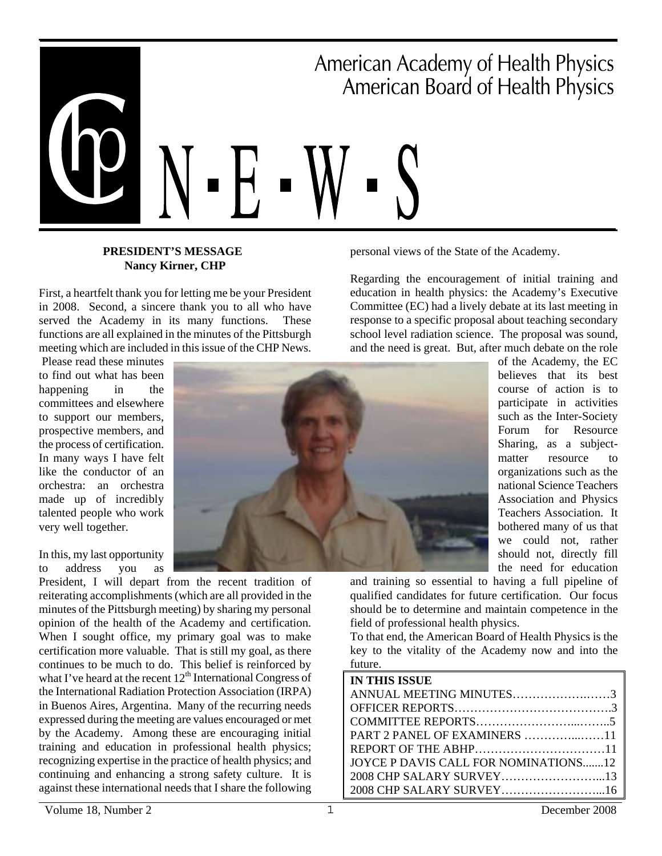# ■ ■ American Academy of Health Physics American Board of Health Physics ■

#### **PRESIDENT'S MESSAGE Nancy Kirner, CHP**

First, a heartfelt thank you for letting me be your President in 2008. Second, a sincere thank you to all who have served the Academy in its many functions. These functions are all explained in the minutes of the Pittsburgh meeting which are included in this issue of the CHP News.

 Please read these minutes to find out what has been happening in the committees and elsewhere to support our members, prospective members, and the process of certification. In many ways I have felt like the conductor of an orchestra: an orchestra made up of incredibly talented people who work very well together.

In this, my last opportunity to address you as

President, I will depart from the recent tradition of reiterating accomplishments (which are all provided in the minutes of the Pittsburgh meeting) by sharing my personal opinion of the health of the Academy and certification. When I sought office, my primary goal was to make certification more valuable. That is still my goal, as there continues to be much to do. This belief is reinforced by what I've heard at the recent  $12<sup>th</sup>$  International Congress of the International Radiation Protection Association (IRPA) in Buenos Aires, Argentina. Many of the recurring needs expressed during the meeting are values encouraged or met by the Academy. Among these are encouraging initial training and education in professional health physics; recognizing expertise in the practice of health physics; and continuing and enhancing a strong safety culture. It is against these international needs that I share the following

Teachers Association. It bothered many of us that we could not, rather should not, directly fill

school level radiation science. The proposal was sound, and the need is great. But, after much debate on the role of the Academy, the EC believes that its best course of action is to participate in activities such as the Inter-Society Forum for Resource Sharing, as a subjectmatter resource to organizations such as the national Science Teachers Association and Physics

the need for education

and training so essential to having a full pipeline of qualified candidates for future certification. Our focus should be to determine and maintain competence in the field of professional health physics.

personal views of the State of the Academy.

Regarding the encouragement of initial training and education in health physics: the Academy's Executive Committee (EC) had a lively debate at its last meeting in response to a specific proposal about teaching secondary

To that end, the American Board of Health Physics is the key to the vitality of the Academy now and into the future.

| <b>IN THIS ISSUE</b>                 |  |
|--------------------------------------|--|
| ANNUAL MEETING MINUTES3              |  |
|                                      |  |
|                                      |  |
|                                      |  |
|                                      |  |
| JOYCE P DAVIS CALL FOR NOMINATIONS12 |  |
| 2008 CHP SALARY SURVEY13             |  |
|                                      |  |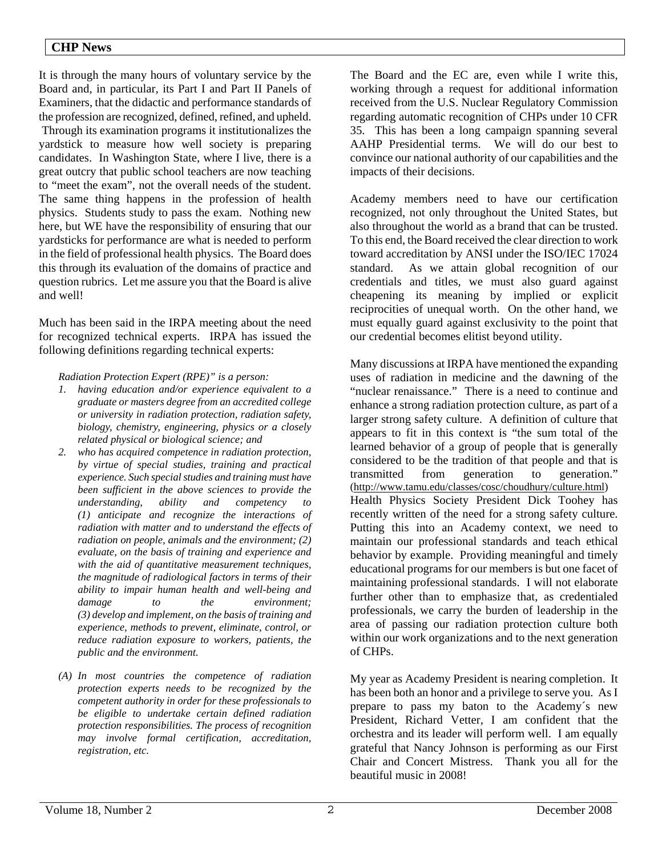It is through the many hours of voluntary service by the Board and, in particular, its Part I and Part II Panels of Examiners, that the didactic and performance standards of the profession are recognized, defined, refined, and upheld. Through its examination programs it institutionalizes the yardstick to measure how well society is preparing candidates. In Washington State, where I live, there is a great outcry that public school teachers are now teaching to "meet the exam", not the overall needs of the student. The same thing happens in the profession of health physics. Students study to pass the exam. Nothing new here, but WE have the responsibility of ensuring that our yardsticks for performance are what is needed to perform in the field of professional health physics. The Board does this through its evaluation of the domains of practice and question rubrics. Let me assure you that the Board is alive and well!

Much has been said in the IRPA meeting about the need for recognized technical experts. IRPA has issued the following definitions regarding technical experts:

*Radiation Protection Expert (RPE)" is a person:* 

- *1. having education and/or experience equivalent to a graduate or masters degree from an accredited college or university in radiation protection, radiation safety, biology, chemistry, engineering, physics or a closely related physical or biological science; and*
- *2. who has acquired competence in radiation protection, by virtue of special studies, training and practical experience. Such special studies and training must have been sufficient in the above sciences to provide the understanding, ability and competency to (1) anticipate and recognize the interactions of radiation with matter and to understand the effects of radiation on people, animals and the environment; (2) evaluate, on the basis of training and experience and with the aid of quantitative measurement techniques, the magnitude of radiological factors in terms of their ability to impair human health and well-being and damage to the environment; (3) develop and implement, on the basis of training and experience, methods to prevent, eliminate, control, or reduce radiation exposure to workers, patients, the public and the environment.*
- *(A) In most countries the competence of radiation protection experts needs to be recognized by the competent authority in order for these professionals to be eligible to undertake certain defined radiation protection responsibilities. The process of recognition may involve formal certification, accreditation, registration, etc.*

The Board and the EC are, even while I write this, working through a request for additional information received from the U.S. Nuclear Regulatory Commission regarding automatic recognition of CHPs under 10 CFR 35. This has been a long campaign spanning several AAHP Presidential terms. We will do our best to convince our national authority of our capabilities and the impacts of their decisions.

Academy members need to have our certification recognized, not only throughout the United States, but also throughout the world as a brand that can be trusted. To this end, the Board received the clear direction to work toward accreditation by ANSI under the ISO/IEC 17024 standard. As we attain global recognition of our credentials and titles, we must also guard against cheapening its meaning by implied or explicit reciprocities of unequal worth. On the other hand, we must equally guard against exclusivity to the point that our credential becomes elitist beyond utility.

Many discussions at IRPA have mentioned the expanding uses of radiation in medicine and the dawning of the "nuclear renaissance." There is a need to continue and enhance a strong radiation protection culture, as part of a larger strong safety culture. A definition of culture that appears to fit in this context is "the sum total of the learned behavior of a group of people that is generally considered to be the tradition of that people and that is transmitted from generation to generation." (http://www.tamu.edu/classes/cosc/choudhury/culture.html) Health Physics Society President Dick Toohey has recently written of the need for a strong safety culture. Putting this into an Academy context, we need to maintain our professional standards and teach ethical behavior by example. Providing meaningful and timely educational programs for our members is but one facet of maintaining professional standards. I will not elaborate further other than to emphasize that, as credentialed professionals, we carry the burden of leadership in the area of passing our radiation protection culture both within our work organizations and to the next generation of CHPs.

My year as Academy President is nearing completion. It has been both an honor and a privilege to serve you. As I prepare to pass my baton to the Academy´s new President, Richard Vetter, I am confident that the orchestra and its leader will perform well. I am equally grateful that Nancy Johnson is performing as our First Chair and Concert Mistress. Thank you all for the beautiful music in 2008!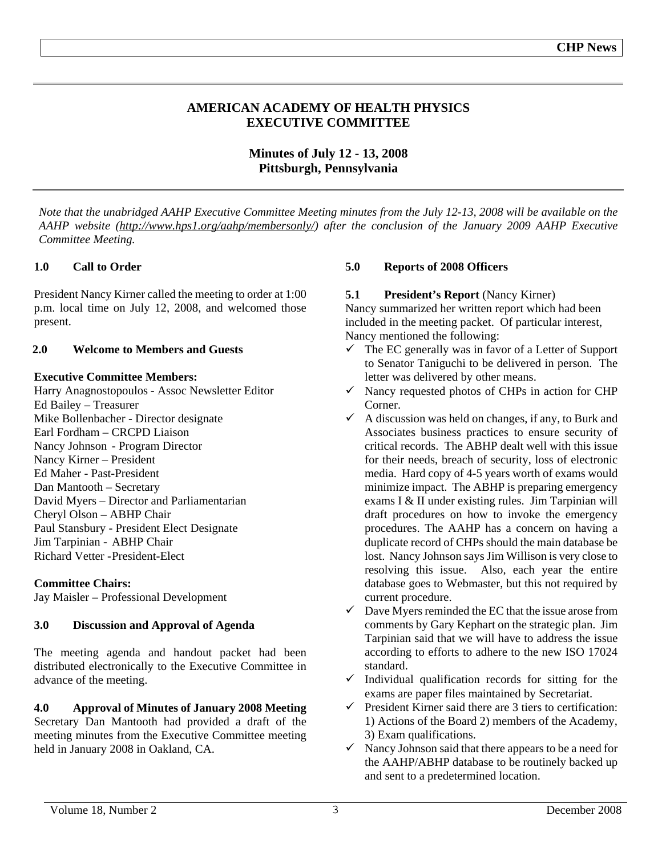#### **AMERICAN ACADEMY OF HEALTH PHYSICS EXECUTIVE COMMITTEE**

**Minutes of July 12 - 13, 2008 Pittsburgh, Pennsylvania** 

*Note that the unabridged AAHP Executive Committee Meeting minutes from the July 12-13, 2008 will be available on the AAHP website (http://www.hps1.org/aahp/membersonly/) after the conclusion of the January 2009 AAHP Executive Committee Meeting.* 

#### **1.0 Call to Order**

President Nancy Kirner called the meeting to order at 1:00 p.m. local time on July 12, 2008, and welcomed those present.

#### **2.0 Welcome to Members and Guests**

#### **Executive Committee Members:**

Harry Anagnostopoulos - Assoc Newsletter Editor Ed Bailey – Treasurer Mike Bollenbacher - Director designate Earl Fordham – CRCPD Liaison Nancy Johnson - Program Director Nancy Kirner – President Ed Maher - Past-President Dan Mantooth – Secretary David Myers – Director and Parliamentarian Cheryl Olson – ABHP Chair Paul Stansbury - President Elect Designate Jim Tarpinian - ABHP Chair Richard Vetter - President-Elect

#### **Committee Chairs:**

Jay Maisler – Professional Development

#### **3.0 Discussion and Approval of Agenda**

The meeting agenda and handout packet had been distributed electronically to the Executive Committee in advance of the meeting.

**4.0 Approval of Minutes of January 2008 Meeting**  Secretary Dan Mantooth had provided a draft of the meeting minutes from the Executive Committee meeting held in January 2008 in Oakland, CA.

#### **5.0 Reports of 2008 Officers**

#### **5.1 President's Report** (Nancy Kirner)

Nancy summarized her written report which had been included in the meeting packet. Of particular interest, Nancy mentioned the following:

- $\checkmark$  The EC generally was in favor of a Letter of Support to Senator Taniguchi to be delivered in person. The letter was delivered by other means.
- $\checkmark$  Nancy requested photos of CHPs in action for CHP Corner.
- $\checkmark$  A discussion was held on changes, if any, to Burk and Associates business practices to ensure security of critical records. The ABHP dealt well with this issue for their needs, breach of security, loss of electronic media. Hard copy of 4-5 years worth of exams would minimize impact. The ABHP is preparing emergency exams I & II under existing rules. Jim Tarpinian will draft procedures on how to invoke the emergency procedures. The AAHP has a concern on having a duplicate record of CHPs should the main database be lost. Nancy Johnson says Jim Willison is very close to resolving this issue. Also, each year the entire database goes to Webmaster, but this not required by current procedure.
- $\checkmark$  Dave Myers reminded the EC that the issue arose from comments by Gary Kephart on the strategic plan. Jim Tarpinian said that we will have to address the issue according to efforts to adhere to the new ISO 17024 standard.
- $\checkmark$  Individual qualification records for sitting for the exams are paper files maintained by Secretariat.
- $\checkmark$  President Kirner said there are 3 tiers to certification: 1) Actions of the Board 2) members of the Academy, 3) Exam qualifications.
- $\checkmark$  Nancy Johnson said that there appears to be a need for the AAHP/ABHP database to be routinely backed up and sent to a predetermined location.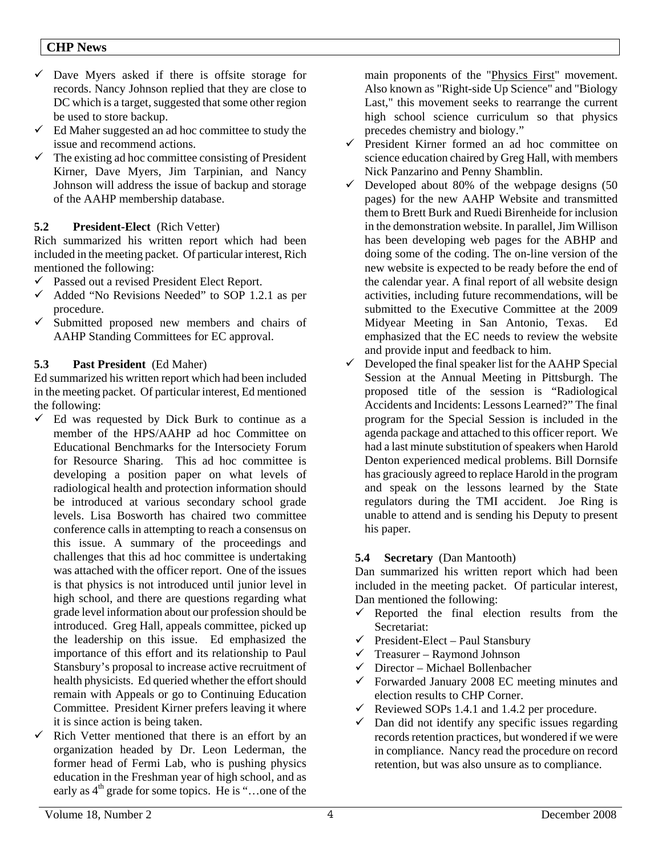- $\checkmark$  Dave Myers asked if there is offsite storage for records. Nancy Johnson replied that they are close to DC which is a target, suggested that some other region be used to store backup.
- $\checkmark$  Ed Maher suggested an ad hoc committee to study the issue and recommend actions.
- $\checkmark$  The existing ad hoc committee consisting of President Kirner, Dave Myers, Jim Tarpinian, and Nancy Johnson will address the issue of backup and storage of the AAHP membership database.

#### **5.2 President-Elect** (Rich Vetter)

Rich summarized his written report which had been included in the meeting packet. Of particular interest, Rich mentioned the following:

- $\checkmark$  Passed out a revised President Elect Report.
- $\checkmark$  Added "No Revisions Needed" to SOP 1.2.1 as per procedure.
- $\checkmark$  Submitted proposed new members and chairs of AAHP Standing Committees for EC approval.

#### **5.3 Past President** (Ed Maher)

Ed summarized his written report which had been included in the meeting packet. Of particular interest, Ed mentioned the following:

- $\checkmark$  Ed was requested by Dick Burk to continue as a member of the HPS/AAHP ad hoc Committee on Educational Benchmarks for the Intersociety Forum for Resource Sharing. This ad hoc committee is developing a position paper on what levels of radiological health and protection information should be introduced at various secondary school grade levels. Lisa Bosworth has chaired two committee conference calls in attempting to reach a consensus on this issue. A summary of the proceedings and challenges that this ad hoc committee is undertaking was attached with the officer report. One of the issues is that physics is not introduced until junior level in high school, and there are questions regarding what grade level information about our profession should be introduced. Greg Hall, appeals committee, picked up the leadership on this issue. Ed emphasized the importance of this effort and its relationship to Paul Stansbury's proposal to increase active recruitment of health physicists. Ed queried whether the effort should remain with Appeals or go to Continuing Education Committee. President Kirner prefers leaving it where it is since action is being taken.
- $\checkmark$  Rich Vetter mentioned that there is an effort by an organization headed by Dr. Leon Lederman, the former head of Fermi Lab, who is pushing physics education in the Freshman year of high school, and as early as  $4<sup>th</sup>$  grade for some topics. He is "...one of the

main proponents of the "Physics First" movement. Also known as "Right-side Up Science" and "Biology Last," this movement seeks to rearrange the current high school science curriculum so that physics precedes chemistry and biology."

- $\checkmark$  President Kirner formed an ad hoc committee on science education chaired by Greg Hall, with members Nick Panzarino and Penny Shamblin.
- $\checkmark$  Developed about 80% of the webpage designs (50 pages) for the new AAHP Website and transmitted them to Brett Burk and Ruedi Birenheide for inclusion in the demonstration website. In parallel, Jim Willison has been developing web pages for the ABHP and doing some of the coding. The on-line version of the new website is expected to be ready before the end of the calendar year. A final report of all website design activities, including future recommendations, will be submitted to the Executive Committee at the 2009 Midyear Meeting in San Antonio, Texas. Ed emphasized that the EC needs to review the website and provide input and feedback to him.
- $\checkmark$  Developed the final speaker list for the AAHP Special Session at the Annual Meeting in Pittsburgh. The proposed title of the session is "Radiological Accidents and Incidents: Lessons Learned?" The final program for the Special Session is included in the agenda package and attached to this officer report. We had a last minute substitution of speakers when Harold Denton experienced medical problems. Bill Dornsife has graciously agreed to replace Harold in the program and speak on the lessons learned by the State regulators during the TMI accident. Joe Ring is unable to attend and is sending his Deputy to present his paper.

#### **5.4 Secretary** (Dan Mantooth)

Dan summarized his written report which had been included in the meeting packet. Of particular interest, Dan mentioned the following:

- $\checkmark$  Reported the final election results from the Secretariat:
- $\checkmark$  President-Elect Paul Stansbury
- $\checkmark$  Treasurer Raymond Johnson
- $\checkmark$  Director Michael Bollenbacher
- $\checkmark$  Forwarded January 2008 EC meeting minutes and election results to CHP Corner.
- Reviewed SOPs 1.4.1 and 1.4.2 per procedure.
- $\checkmark$  Dan did not identify any specific issues regarding records retention practices, but wondered if we were in compliance. Nancy read the procedure on record retention, but was also unsure as to compliance.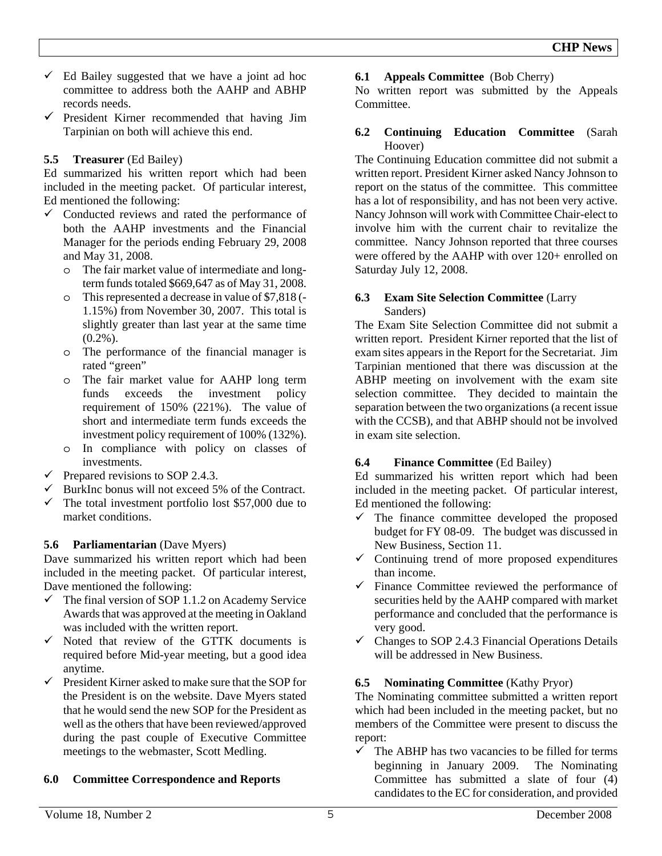- $\checkmark$  Ed Bailey suggested that we have a joint ad hoc committee to address both the AAHP and ABHP records needs.
- $\checkmark$  President Kirner recommended that having Jim Tarpinian on both will achieve this end.

#### **5.5 Treasurer** (Ed Bailey)

Ed summarized his written report which had been included in the meeting packet. Of particular interest, Ed mentioned the following:

- $\checkmark$  Conducted reviews and rated the performance of both the AAHP investments and the Financial Manager for the periods ending February 29, 2008 and May 31, 2008.
	- o The fair market value of intermediate and longterm funds totaled \$669,647 as of May 31, 2008.
	- o This represented a decrease in value of \$7,818 (- 1.15%) from November 30, 2007. This total is slightly greater than last year at the same time  $(0.2\%)$ .
	- o The performance of the financial manager is rated "green"
	- o The fair market value for AAHP long term funds exceeds the investment policy requirement of 150% (221%). The value of short and intermediate term funds exceeds the investment policy requirement of 100% (132%).
	- o In compliance with policy on classes of investments.
- $\checkmark$  Prepared revisions to SOP 2.4.3.
- $\checkmark$  BurkInc bonus will not exceed 5% of the Contract.
- $\checkmark$  The total investment portfolio lost \$57,000 due to market conditions.

#### **5.6 Parliamentarian** (Dave Myers)

Dave summarized his written report which had been included in the meeting packet. Of particular interest, Dave mentioned the following:

- $\checkmark$  The final version of SOP 1.1.2 on Academy Service Awards that was approved at the meeting in Oakland was included with the written report.
- $\checkmark$  Noted that review of the GTTK documents is required before Mid-year meeting, but a good idea anytime.
- $\checkmark$  President Kirner asked to make sure that the SOP for the President is on the website. Dave Myers stated that he would send the new SOP for the President as well as the others that have been reviewed/approved during the past couple of Executive Committee meetings to the webmaster, Scott Medling.

#### **6.0 Committee Correspondence and Reports**

#### **6.1 Appeals Committee** (Bob Cherry)

No written report was submitted by the Appeals Committee.

#### **6.2 Continuing Education Committee** (Sarah Hoover)

The Continuing Education committee did not submit a written report. President Kirner asked Nancy Johnson to report on the status of the committee. This committee has a lot of responsibility, and has not been very active. Nancy Johnson will work with Committee Chair-elect to involve him with the current chair to revitalize the committee. Nancy Johnson reported that three courses were offered by the AAHP with over 120+ enrolled on Saturday July 12, 2008.

#### **6.3 Exam Site Selection Committee** (Larry Sanders)

The Exam Site Selection Committee did not submit a written report. President Kirner reported that the list of exam sites appears in the Report for the Secretariat. Jim Tarpinian mentioned that there was discussion at the ABHP meeting on involvement with the exam site selection committee. They decided to maintain the separation between the two organizations (a recent issue with the CCSB), and that ABHP should not be involved in exam site selection.

#### **6.4 Finance Committee** (Ed Bailey)

Ed summarized his written report which had been included in the meeting packet. Of particular interest, Ed mentioned the following:

- $\checkmark$  The finance committee developed the proposed budget for FY 08-09. The budget was discussed in New Business, Section 11.
- $\checkmark$  Continuing trend of more proposed expenditures than income.
- $\checkmark$  Finance Committee reviewed the performance of securities held by the AAHP compared with market performance and concluded that the performance is very good.
- $\checkmark$  Changes to SOP 2.4.3 Financial Operations Details will be addressed in New Business.

#### **6.5 Nominating Committee** (Kathy Pryor)

The Nominating committee submitted a written report which had been included in the meeting packet, but no members of the Committee were present to discuss the report:

The ABHP has two vacancies to be filled for terms beginning in January 2009. The Nominating Committee has submitted a slate of four (4) candidates to the EC for consideration, and provided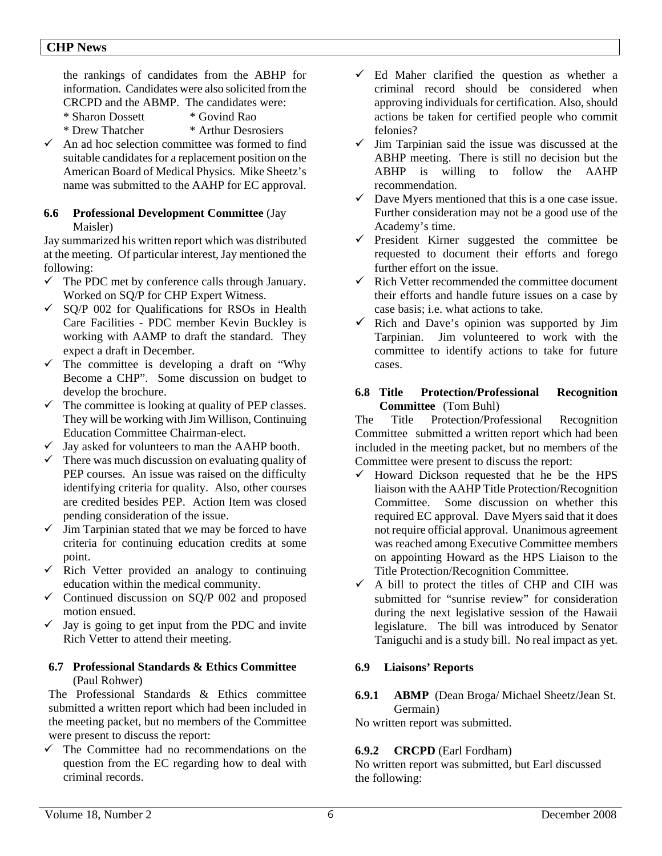the rankings of candidates from the ABHP for information. Candidates were also solicited from the CRCPD and the ABMP. The candidates were:

- \* Sharon Dossett \* Govind Rao
- 
- \* Drew Thatcher \* Arthur Desrosiers
- $\checkmark$  An ad hoc selection committee was formed to find suitable candidates for a replacement position on the American Board of Medical Physics. Mike Sheetz's name was submitted to the AAHP for EC approval.

#### **6.6 Professional Development Committee** (Jay Maisler)

Jay summarized his written report which was distributed at the meeting. Of particular interest, Jay mentioned the following:

- $\checkmark$  The PDC met by conference calls through January. Worked on SQ/P for CHP Expert Witness.
- $\checkmark$  SQ/P 002 for Qualifications for RSOs in Health Care Facilities - PDC member Kevin Buckley is working with AAMP to draft the standard. They expect a draft in December.
- $\checkmark$  The committee is developing a draft on "Why" Become a CHP". Some discussion on budget to develop the brochure.
- $\checkmark$  The committee is looking at quality of PEP classes. They will be working with Jim Willison, Continuing Education Committee Chairman-elect.
- $\checkmark$  Jay asked for volunteers to man the AAHP booth.
- $\checkmark$  There was much discussion on evaluating quality of PEP courses. An issue was raised on the difficulty identifying criteria for quality. Also, other courses are credited besides PEP. Action Item was closed pending consideration of the issue.
- $\checkmark$  Jim Tarpinian stated that we may be forced to have criteria for continuing education credits at some point.
- $\checkmark$  Rich Vetter provided an analogy to continuing education within the medical community.
- $\checkmark$  Continued discussion on SQ/P 002 and proposed motion ensued.
- $\checkmark$  Jay is going to get input from the PDC and invite Rich Vetter to attend their meeting.

#### **6.7 Professional Standards & Ethics Committee**  (Paul Rohwer)

The Professional Standards & Ethics committee submitted a written report which had been included in the meeting packet, but no members of the Committee were present to discuss the report:

 $\checkmark$  The Committee had no recommendations on the question from the EC regarding how to deal with criminal records.

- $\checkmark$  Ed Maher clarified the question as whether a criminal record should be considered when approving individuals for certification. Also, should actions be taken for certified people who commit felonies?
- $\checkmark$  Jim Tarpinian said the issue was discussed at the ABHP meeting. There is still no decision but the ABHP is willing to follow the AAHP recommendation.
- $\checkmark$  Dave Myers mentioned that this is a one case issue. Further consideration may not be a good use of the Academy's time.
- $\checkmark$  President Kirner suggested the committee be requested to document their efforts and forego further effort on the issue.
- $\checkmark$  Rich Vetter recommended the committee document their efforts and handle future issues on a case by case basis; i.e. what actions to take.
- $\checkmark$  Rich and Dave's opinion was supported by Jim Tarpinian. Jim volunteered to work with the committee to identify actions to take for future cases.

#### **6.8 Title Protection/Professional Recognition Committee** (Tom Buhl)

The Title Protection/Professional Recognition Committee submitted a written report which had been included in the meeting packet, but no members of the Committee were present to discuss the report:

- $\checkmark$  Howard Dickson requested that he be the HPS liaison with the AAHP Title Protection/Recognition Committee. Some discussion on whether this required EC approval. Dave Myers said that it does not require official approval. Unanimous agreement was reached among Executive Committee members on appointing Howard as the HPS Liaison to the Title Protection/Recognition Committee.
- $\checkmark$  A bill to protect the titles of CHP and CIH was submitted for "sunrise review" for consideration during the next legislative session of the Hawaii legislature. The bill was introduced by Senator Taniguchi and is a study bill. No real impact as yet.

#### **6.9 Liaisons' Reports**

**6.9.1 ABMP** (Dean Broga/ Michael Sheetz/Jean St. Germain)

No written report was submitted.

#### **6.9.2 CRCPD** (Earl Fordham)

No written report was submitted, but Earl discussed the following: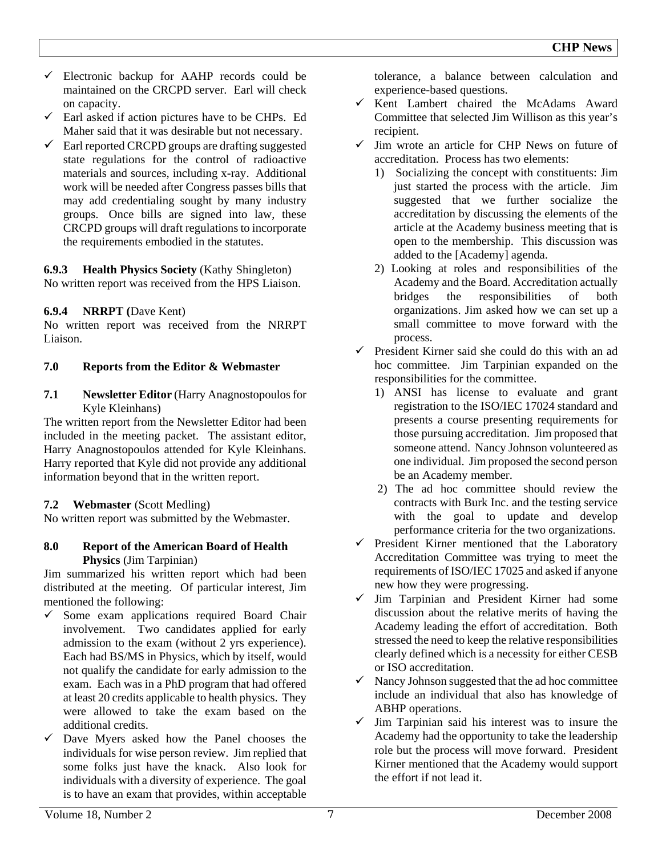- $\checkmark$  Electronic backup for AAHP records could be maintained on the CRCPD server. Earl will check on capacity.
- $\checkmark$  Earl asked if action pictures have to be CHPs. Ed Maher said that it was desirable but not necessary.
- $\checkmark$  Earl reported CRCPD groups are drafting suggested state regulations for the control of radioactive materials and sources, including x-ray. Additional work will be needed after Congress passes bills that may add credentialing sought by many industry groups. Once bills are signed into law, these CRCPD groups will draft regulations to incorporate the requirements embodied in the statutes.

#### **6.9.3 Health Physics Society** (Kathy Shingleton) No written report was received from the HPS Liaison.

#### **6.9.4 NRRPT (**Dave Kent)

No written report was received from the NRRPT Liaison.

#### **7.0 Reports from the Editor & Webmaster**

**7.1** Newsletter Editor (Harry Anagnostopoulos for Kyle Kleinhans)

The written report from the Newsletter Editor had been included in the meeting packet. The assistant editor, Harry Anagnostopoulos attended for Kyle Kleinhans. Harry reported that Kyle did not provide any additional information beyond that in the written report.

#### **7.2 Webmaster** (Scott Medling)

No written report was submitted by the Webmaster.

#### **8.0 Report of the American Board of Health Physics** (Jim Tarpinian)

Jim summarized his written report which had been distributed at the meeting. Of particular interest, Jim mentioned the following:

- Some exam applications required Board Chair involvement. Two candidates applied for early admission to the exam (without 2 yrs experience). Each had BS/MS in Physics, which by itself, would not qualify the candidate for early admission to the exam. Each was in a PhD program that had offered at least 20 credits applicable to health physics. They were allowed to take the exam based on the additional credits.
- Dave Myers asked how the Panel chooses the individuals for wise person review. Jim replied that some folks just have the knack. Also look for individuals with a diversity of experience. The goal is to have an exam that provides, within acceptable

tolerance, a balance between calculation and experience-based questions.

- $\checkmark$  Kent Lambert chaired the McAdams Award Committee that selected Jim Willison as this year's recipient.
- $\checkmark$  Jim wrote an article for CHP News on future of accreditation. Process has two elements:
	- 1) Socializing the concept with constituents: Jim just started the process with the article. Jim suggested that we further socialize the accreditation by discussing the elements of the article at the Academy business meeting that is open to the membership. This discussion was added to the [Academy] agenda.
	- 2) Looking at roles and responsibilities of the Academy and the Board. Accreditation actually bridges the responsibilities of both organizations. Jim asked how we can set up a small committee to move forward with the process.
- $\checkmark$  President Kirner said she could do this with an ad hoc committee. Jim Tarpinian expanded on the responsibilities for the committee.
	- 1) ANSI has license to evaluate and grant registration to the ISO/IEC 17024 standard and presents a course presenting requirements for those pursuing accreditation. Jim proposed that someone attend. Nancy Johnson volunteered as one individual. Jim proposed the second person be an Academy member.
	- 2) The ad hoc committee should review the contracts with Burk Inc. and the testing service with the goal to update and develop performance criteria for the two organizations.
- $\checkmark$  President Kirner mentioned that the Laboratory Accreditation Committee was trying to meet the requirements of ISO/IEC 17025 and asked if anyone new how they were progressing.
- $\checkmark$  Jim Tarpinian and President Kirner had some discussion about the relative merits of having the Academy leading the effort of accreditation. Both stressed the need to keep the relative responsibilities clearly defined which is a necessity for either CESB or ISO accreditation.
- $\checkmark$  Nancy Johnson suggested that the ad hoc committee include an individual that also has knowledge of ABHP operations.
- $\checkmark$  Jim Tarpinian said his interest was to insure the Academy had the opportunity to take the leadership role but the process will move forward. President Kirner mentioned that the Academy would support the effort if not lead it.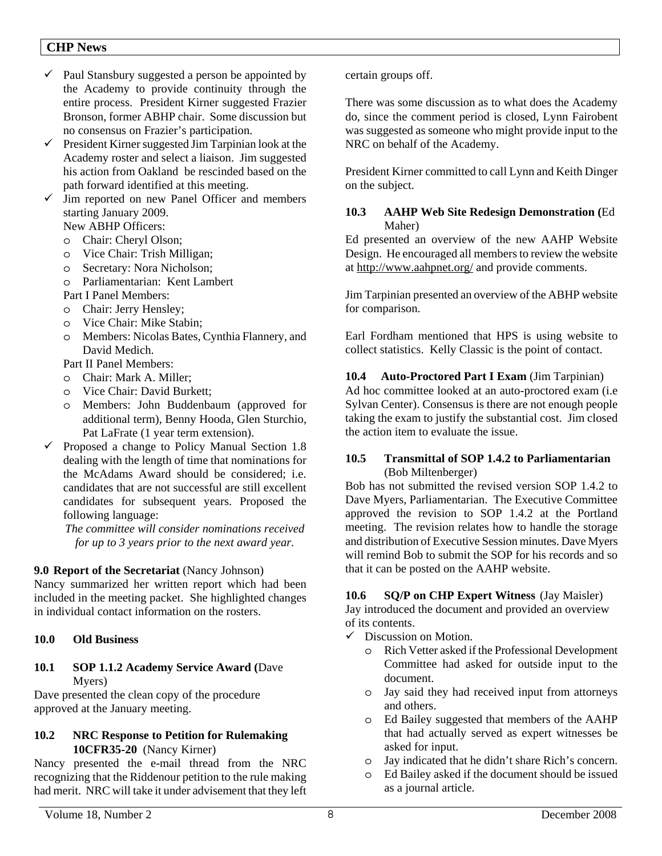- $\checkmark$  Paul Stansbury suggested a person be appointed by the Academy to provide continuity through the entire process. President Kirner suggested Frazier Bronson, former ABHP chair. Some discussion but no consensus on Frazier's participation.
- $\checkmark$  President Kirner suggested Jim Tarpinian look at the Academy roster and select a liaison. Jim suggested his action from Oakland be rescinded based on the path forward identified at this meeting.
- $\checkmark$  Jim reported on new Panel Officer and members starting January 2009.

New ABHP Officers:

- o Chair: Cheryl Olson;
- o Vice Chair: Trish Milligan;
- o Secretary: Nora Nicholson;
- o Parliamentarian: Kent Lambert
- Part I Panel Members:
- o Chair: Jerry Hensley;
- o Vice Chair: Mike Stabin;
- o Members: Nicolas Bates, Cynthia Flannery, and David Medich.

Part II Panel Members:

- o Chair: Mark A. Miller;
- o Vice Chair: David Burkett;
- o Members: John Buddenbaum (approved for additional term), Benny Hooda, Glen Sturchio, Pat LaFrate (1 year term extension).
- $\checkmark$  Proposed a change to Policy Manual Section 1.8 dealing with the length of time that nominations for the McAdams Award should be considered; i.e. candidates that are not successful are still excellent candidates for subsequent years. Proposed the following language:

*The committee will consider nominations received for up to 3 years prior to the next award year.* 

#### **9.0 Report of the Secretariat (Nancy Johnson)**

Nancy summarized her written report which had been included in the meeting packet. She highlighted changes in individual contact information on the rosters.

#### **10.0 Old Business**

#### **10.1 SOP 1.1.2 Academy Service Award (**Dave Myers)

Dave presented the clean copy of the procedure approved at the January meeting.

#### **10.2 NRC Response to Petition for Rulemaking 10CFR35-20** (Nancy Kirner)

Nancy presented the e-mail thread from the NRC recognizing that the Riddenour petition to the rule making had merit. NRC will take it under advisement that they left certain groups off.

There was some discussion as to what does the Academy do, since the comment period is closed, Lynn Fairobent was suggested as someone who might provide input to the NRC on behalf of the Academy.

President Kirner committed to call Lynn and Keith Dinger on the subject.

#### **10.3 AAHP Web Site Redesign Demonstration (**Ed Maher)

Ed presented an overview of the new AAHP Website Design. He encouraged all members to review the website at http://www.aahpnet.org/ and provide comments.

Jim Tarpinian presented an overview of the ABHP website for comparison.

Earl Fordham mentioned that HPS is using website to collect statistics. Kelly Classic is the point of contact.

#### **10.4 Auto-Proctored Part I Exam** (Jim Tarpinian)

Ad hoc committee looked at an auto-proctored exam (i.e Sylvan Center). Consensus is there are not enough people taking the exam to justify the substantial cost. Jim closed the action item to evaluate the issue.

#### **10.5 Transmittal of SOP 1.4.2 to Parliamentarian**  (Bob Miltenberger)

Bob has not submitted the revised version SOP 1.4.2 to Dave Myers, Parliamentarian. The Executive Committee approved the revision to SOP 1.4.2 at the Portland meeting. The revision relates how to handle the storage and distribution of Executive Session minutes. Dave Myers will remind Bob to submit the SOP for his records and so that it can be posted on the AAHP website.

#### **10.6 SQ/P on CHP Expert Witness** (Jay Maisler)

Jay introduced the document and provided an overview of its contents.

- $\checkmark$  Discussion on Motion.
	- o Rich Vetter asked if the Professional Development Committee had asked for outside input to the document.
	- o Jay said they had received input from attorneys and others.
	- o Ed Bailey suggested that members of the AAHP that had actually served as expert witnesses be asked for input.
	- o Jay indicated that he didn't share Rich's concern.
	- o Ed Bailey asked if the document should be issued as a journal article.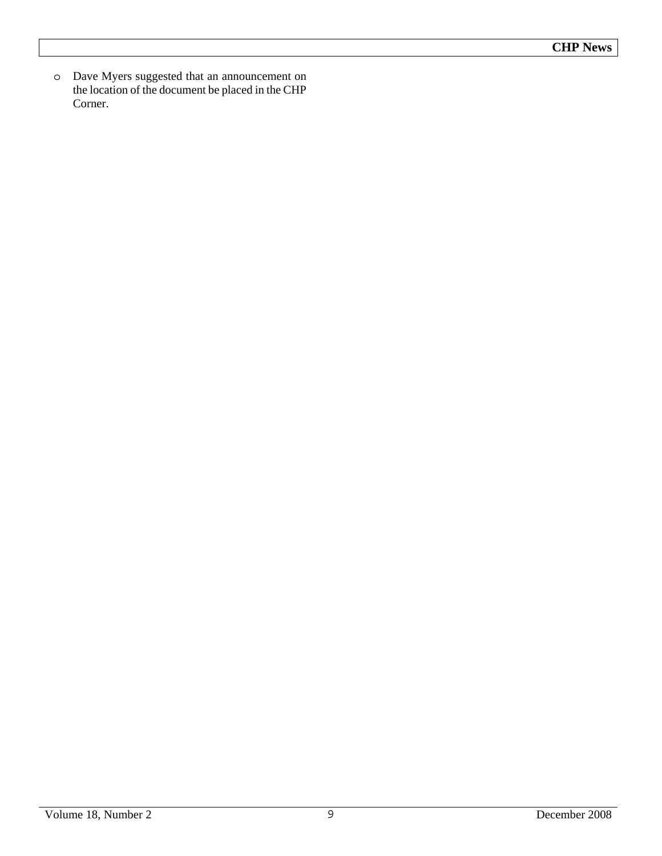o Dave Myers suggested that an announcement on the location of the document be placed in the CHP Corner.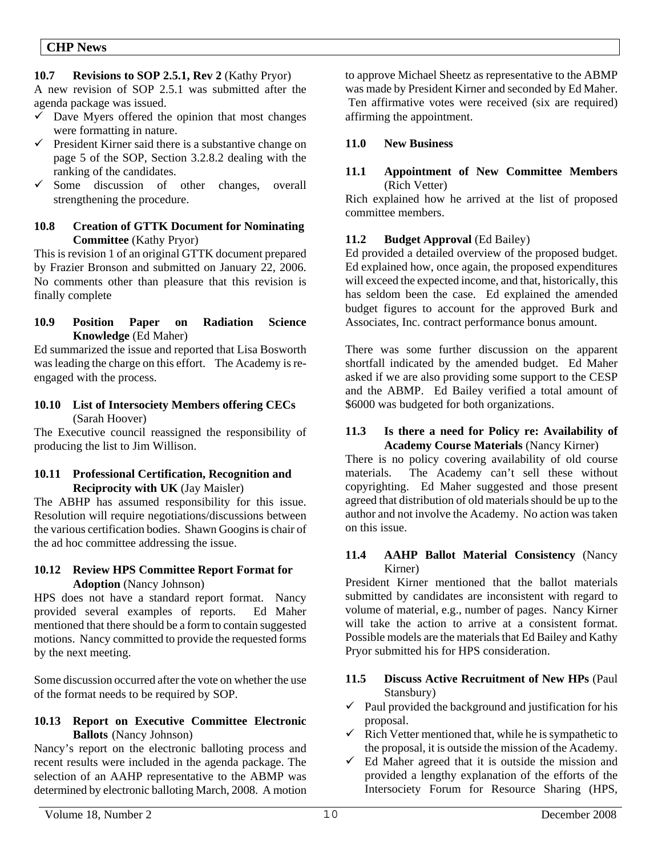#### **10.7 Revisions to SOP 2.5.1, Rev 2** (Kathy Pryor)

A new revision of SOP 2.5.1 was submitted after the agenda package was issued.

- $\checkmark$  Dave Myers offered the opinion that most changes were formatting in nature.
- $\checkmark$  President Kirner said there is a substantive change on page 5 of the SOP, Section 3.2.8.2 dealing with the ranking of the candidates.
- $\checkmark$  Some discussion of other changes, overall strengthening the procedure.

#### **10.8 Creation of GTTK Document for Nominating Committee** (Kathy Pryor)

This is revision 1 of an original GTTK document prepared by Frazier Bronson and submitted on January 22, 2006. No comments other than pleasure that this revision is finally complete

#### **10.9 Position Paper on Radiation Science Knowledge** (Ed Maher)

Ed summarized the issue and reported that Lisa Bosworth was leading the charge on this effort. The Academy is reengaged with the process.

#### **10.10 List of Intersociety Members offering CECs** (Sarah Hoover)

The Executive council reassigned the responsibility of producing the list to Jim Willison.

#### **10.11 Professional Certification, Recognition and Reciprocity with UK** (Jay Maisler)

The ABHP has assumed responsibility for this issue. Resolution will require negotiations/discussions between the various certification bodies. Shawn Googins is chair of the ad hoc committee addressing the issue.

#### **10.12 Review HPS Committee Report Format for Adoption** (Nancy Johnson)

HPS does not have a standard report format. Nancy provided several examples of reports. Ed Maher mentioned that there should be a form to contain suggested motions. Nancy committed to provide the requested forms by the next meeting.

Some discussion occurred after the vote on whether the use of the format needs to be required by SOP.

#### **10.13 Report on Executive Committee Electronic Ballots** (Nancy Johnson)

Nancy's report on the electronic balloting process and recent results were included in the agenda package. The selection of an AAHP representative to the ABMP was determined by electronic balloting March, 2008. A motion to approve Michael Sheetz as representative to the ABMP was made by President Kirner and seconded by Ed Maher. Ten affirmative votes were received (six are required) affirming the appointment.

#### **11.0 New Business**

#### **11.1 Appointment of New Committee Members**  (Rich Vetter)

Rich explained how he arrived at the list of proposed committee members.

#### **11.2 Budget Approval** (Ed Bailey)

Ed provided a detailed overview of the proposed budget. Ed explained how, once again, the proposed expenditures will exceed the expected income, and that, historically, this has seldom been the case. Ed explained the amended budget figures to account for the approved Burk and Associates, Inc. contract performance bonus amount.

There was some further discussion on the apparent shortfall indicated by the amended budget. Ed Maher asked if we are also providing some support to the CESP and the ABMP. Ed Bailey verified a total amount of \$6000 was budgeted for both organizations.

#### **11.3 Is there a need for Policy re: Availability of Academy Course Materials** (Nancy Kirner)

There is no policy covering availability of old course materials. The Academy can't sell these without copyrighting. Ed Maher suggested and those present agreed that distribution of old materials should be up to the author and not involve the Academy. No action was taken on this issue.

#### **11.4 AAHP Ballot Material Consistency** (Nancy Kirner)

President Kirner mentioned that the ballot materials submitted by candidates are inconsistent with regard to volume of material, e.g., number of pages. Nancy Kirner will take the action to arrive at a consistent format. Possible models are the materials that Ed Bailey and Kathy Pryor submitted his for HPS consideration.

#### **11.5 Discuss Active Recruitment of New HPs** (Paul Stansbury)

- $\checkmark$  Paul provided the background and justification for his proposal.
- $\checkmark$  Rich Vetter mentioned that, while he is sympathetic to the proposal, it is outside the mission of the Academy.
- $\checkmark$  Ed Maher agreed that it is outside the mission and provided a lengthy explanation of the efforts of the Intersociety Forum for Resource Sharing (HPS,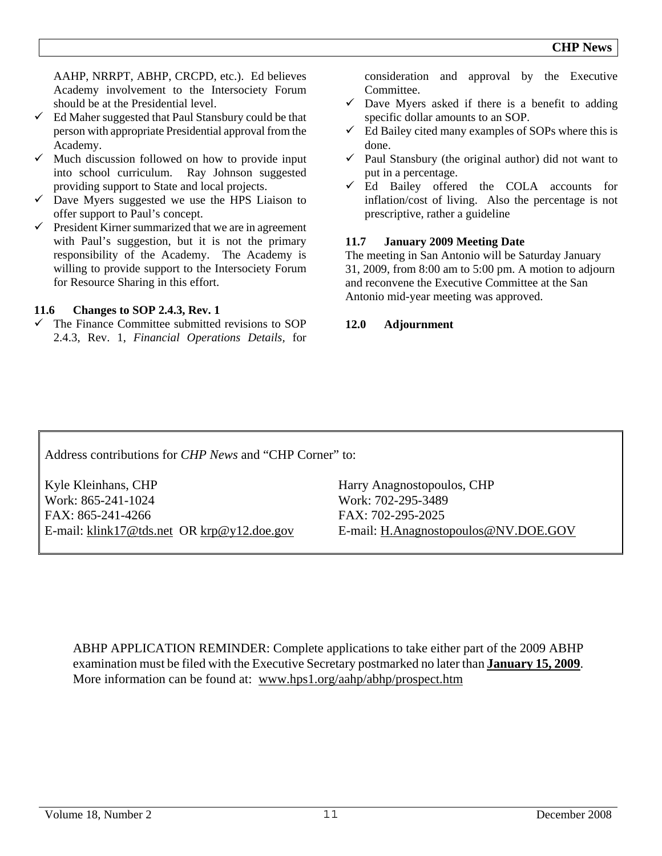AAHP, NRRPT, ABHP, CRCPD, etc.). Ed believes Academy involvement to the Intersociety Forum should be at the Presidential level.

- $\checkmark$  Ed Maher suggested that Paul Stansbury could be that person with appropriate Presidential approval from the Academy.
- $\checkmark$  Much discussion followed on how to provide input into school curriculum. Ray Johnson suggested providing support to State and local projects.
- $\checkmark$  Dave Myers suggested we use the HPS Liaison to offer support to Paul's concept.
- $\checkmark$  President Kirner summarized that we are in agreement with Paul's suggestion, but it is not the primary responsibility of the Academy. The Academy is willing to provide support to the Intersociety Forum for Resource Sharing in this effort.

#### **11.6 Changes to SOP 2.4.3, Rev. 1**

 $\checkmark$  The Finance Committee submitted revisions to SOP 2.4.3, Rev. 1, *Financial Operations Details,* for consideration and approval by the Executive Committee.

- $\checkmark$  Dave Myers asked if there is a benefit to adding specific dollar amounts to an SOP.
- $\checkmark$  Ed Bailey cited many examples of SOPs where this is done.
- Paul Stansbury (the original author) did not want to put in a percentage.
- $\checkmark$  Ed Bailey offered the COLA accounts for inflation/cost of living. Also the percentage is not prescriptive, rather a guideline

#### **11.7 January 2009 Meeting Date**

The meeting in San Antonio will be Saturday January 31, 2009, from 8:00 am to 5:00 pm. A motion to adjourn and reconvene the Executive Committee at the San Antonio mid-year meeting was approved.

#### **12.0 Adjournment**

Address contributions for *CHP News* and "CHP Corner" to:

Kyle Kleinhans, CHP Work: 865-241-1024 FAX: 865-241-4266 E-mail: klink17@tds.net OR krp@y12.doe.gov Harry Anagnostopoulos, CHP Work: 702-295-3489 FAX: 702-295-2025 E-mail: H.Anagnostopoulos@NV.DOE.GOV

ABHP APPLICATION REMINDER: Complete applications to take either part of the 2009 ABHP examination must be filed with the Executive Secretary postmarked no later than **January 15, 2009**. More information can be found at: www.hps1.org/aahp/abhp/prospect.htm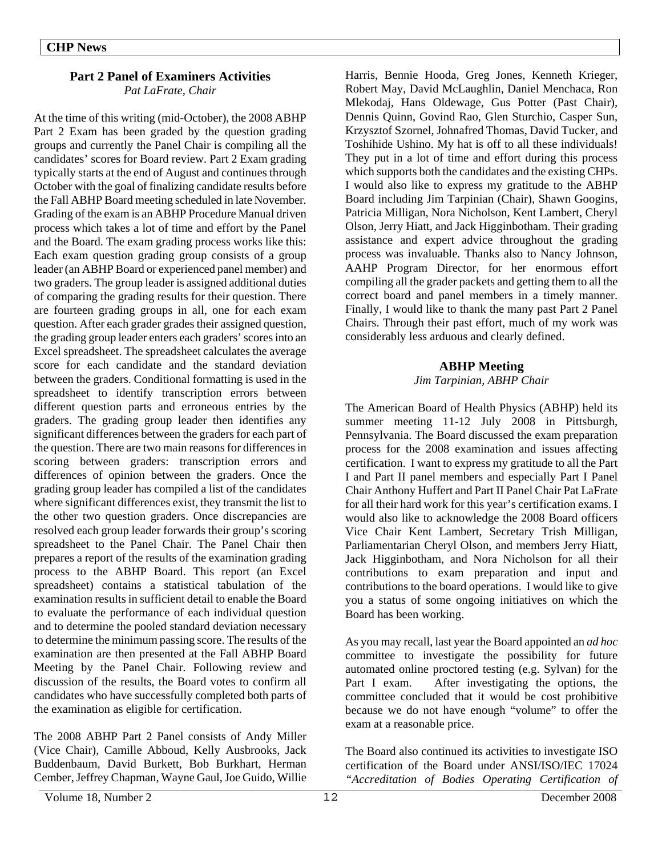#### **Part 2 Panel of Examiners Activities**  *Pat LaFrate, Chair*

At the time of this writing (mid-October), the 2008 ABHP Part 2 Exam has been graded by the question grading groups and currently the Panel Chair is compiling all the candidates' scores for Board review. Part 2 Exam grading typically starts at the end of August and continues through October with the goal of finalizing candidate results before the Fall ABHP Board meeting scheduled in late November. Grading of the exam is an ABHP Procedure Manual driven process which takes a lot of time and effort by the Panel and the Board. The exam grading process works like this: Each exam question grading group consists of a group leader (an ABHP Board or experienced panel member) and two graders. The group leader is assigned additional duties of comparing the grading results for their question. There are fourteen grading groups in all, one for each exam question. After each grader grades their assigned question, the grading group leader enters each graders' scores into an Excel spreadsheet. The spreadsheet calculates the average score for each candidate and the standard deviation between the graders. Conditional formatting is used in the spreadsheet to identify transcription errors between different question parts and erroneous entries by the graders. The grading group leader then identifies any significant differences between the graders for each part of the question. There are two main reasons for differences in scoring between graders: transcription errors and differences of opinion between the graders. Once the grading group leader has compiled a list of the candidates where significant differences exist, they transmit the list to the other two question graders. Once discrepancies are resolved each group leader forwards their group's scoring spreadsheet to the Panel Chair. The Panel Chair then prepares a report of the results of the examination grading process to the ABHP Board. This report (an Excel spreadsheet) contains a statistical tabulation of the examination results in sufficient detail to enable the Board to evaluate the performance of each individual question and to determine the pooled standard deviation necessary to determine the minimum passing score. The results of the examination are then presented at the Fall ABHP Board Meeting by the Panel Chair. Following review and discussion of the results, the Board votes to confirm all candidates who have successfully completed both parts of the examination as eligible for certification.

The 2008 ABHP Part 2 Panel consists of Andy Miller (Vice Chair), Camille Abboud, Kelly Ausbrooks, Jack Buddenbaum, David Burkett, Bob Burkhart, Herman Cember, Jeffrey Chapman, Wayne Gaul, Joe Guido, Willie Harris, Bennie Hooda, Greg Jones, Kenneth Krieger, Robert May, David McLaughlin, Daniel Menchaca, Ron Mlekodaj, Hans Oldewage, Gus Potter (Past Chair), Dennis Quinn, Govind Rao, Glen Sturchio, Casper Sun, Krzysztof Szornel, Johnafred Thomas, David Tucker, and Toshihide Ushino. My hat is off to all these individuals! They put in a lot of time and effort during this process which supports both the candidates and the existing CHPs. I would also like to express my gratitude to the ABHP Board including Jim Tarpinian (Chair), Shawn Googins, Patricia Milligan, Nora Nicholson, Kent Lambert, Cheryl Olson, Jerry Hiatt, and Jack Higginbotham. Their grading assistance and expert advice throughout the grading process was invaluable. Thanks also to Nancy Johnson, AAHP Program Director, for her enormous effort compiling all the grader packets and getting them to all the correct board and panel members in a timely manner. Finally, I would like to thank the many past Part 2 Panel Chairs. Through their past effort, much of my work was considerably less arduous and clearly defined.

#### **ABHP Meeting**

*Jim Tarpinian, ABHP Chair* 

The American Board of Health Physics (ABHP) held its summer meeting 11-12 July 2008 in Pittsburgh, Pennsylvania. The Board discussed the exam preparation process for the 2008 examination and issues affecting certification. I want to express my gratitude to all the Part I and Part II panel members and especially Part I Panel Chair Anthony Huffert and Part II Panel Chair Pat LaFrate for all their hard work for this year's certification exams. I would also like to acknowledge the 2008 Board officers Vice Chair Kent Lambert, Secretary Trish Milligan, Parliamentarian Cheryl Olson, and members Jerry Hiatt, Jack Higginbotham, and Nora Nicholson for all their contributions to exam preparation and input and contributions to the board operations. I would like to give you a status of some ongoing initiatives on which the Board has been working.

As you may recall, last year the Board appointed an *ad hoc* committee to investigate the possibility for future automated online proctored testing (e.g. Sylvan) for the Part I exam. After investigating the options, the committee concluded that it would be cost prohibitive because we do not have enough "volume" to offer the exam at a reasonable price.

The Board also continued its activities to investigate ISO certification of the Board under ANSI/ISO/IEC 17024 *"Accreditation of Bodies Operating Certification of*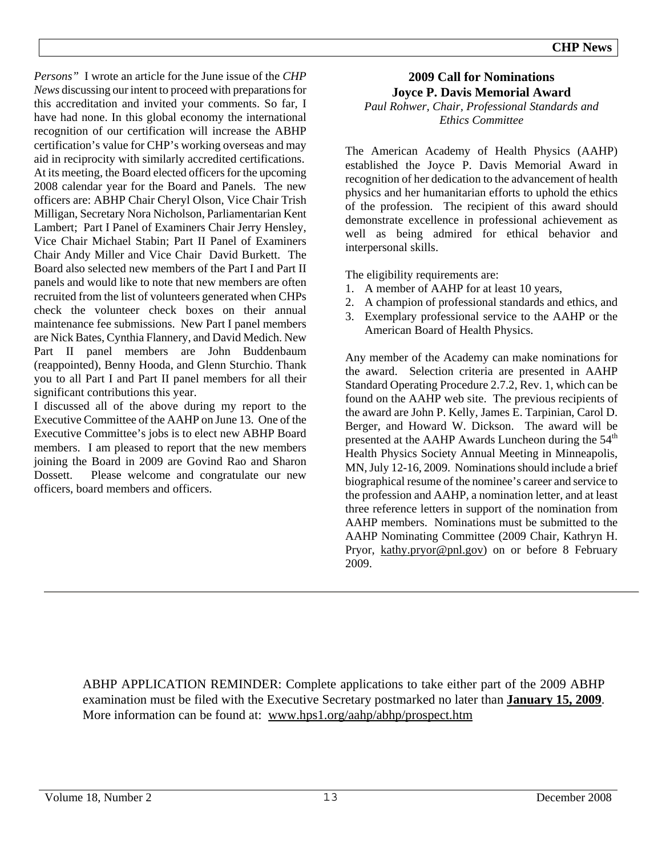*Persons"* I wrote an article for the June issue of the *CHP News* discussing our intent to proceed with preparations for this accreditation and invited your comments. So far, I have had none. In this global economy the international recognition of our certification will increase the ABHP certification's value for CHP's working overseas and may aid in reciprocity with similarly accredited certifications. At its meeting, the Board elected officers for the upcoming 2008 calendar year for the Board and Panels. The new officers are: ABHP Chair Cheryl Olson, Vice Chair Trish Milligan, Secretary Nora Nicholson, Parliamentarian Kent Lambert; Part I Panel of Examiners Chair Jerry Hensley, Vice Chair Michael Stabin; Part II Panel of Examiners Chair Andy Miller and Vice Chair David Burkett. The Board also selected new members of the Part I and Part II panels and would like to note that new members are often recruited from the list of volunteers generated when CHPs check the volunteer check boxes on their annual maintenance fee submissions. New Part I panel members are Nick Bates, Cynthia Flannery, and David Medich. New Part II panel members are John Buddenbaum (reappointed), Benny Hooda, and Glenn Sturchio. Thank you to all Part I and Part II panel members for all their significant contributions this year.

I discussed all of the above during my report to the Executive Committee of the AAHP on June 13. One of the Executive Committee's jobs is to elect new ABHP Board members. I am pleased to report that the new members joining the Board in 2009 are Govind Rao and Sharon Dossett. Please welcome and congratulate our new officers, board members and officers.

#### **2009 Call for Nominations Joyce P. Davis Memorial Award**

*Paul Rohwer, Chair, Professional Standards and Ethics Committee*

The American Academy of Health Physics (AAHP) established the Joyce P. Davis Memorial Award in recognition of her dedication to the advancement of health physics and her humanitarian efforts to uphold the ethics of the profession. The recipient of this award should demonstrate excellence in professional achievement as well as being admired for ethical behavior and interpersonal skills.

The eligibility requirements are:

- 1. A member of AAHP for at least 10 years,
- 2. A champion of professional standards and ethics, and
- 3. Exemplary professional service to the AAHP or the American Board of Health Physics.

Any member of the Academy can make nominations for the award. Selection criteria are presented in AAHP Standard Operating Procedure 2.7.2, Rev. 1, which can be found on the AAHP web site. The previous recipients of the award are John P. Kelly, James E. Tarpinian, Carol D. Berger, and Howard W. Dickson. The award will be presented at the AAHP Awards Luncheon during the 54<sup>th</sup> Health Physics Society Annual Meeting in Minneapolis, MN, July 12-16, 2009. Nominations should include a brief biographical resume of the nominee's career and service to the profession and AAHP, a nomination letter, and at least three reference letters in support of the nomination from AAHP members. Nominations must be submitted to the AAHP Nominating Committee (2009 Chair, Kathryn H. Pryor, kathy.pryor@pnl.gov) on or before 8 February 2009.

ABHP APPLICATION REMINDER: Complete applications to take either part of the 2009 ABHP examination must be filed with the Executive Secretary postmarked no later than **January 15, 2009**. More information can be found at: www.hps1.org/aahp/abhp/prospect.htm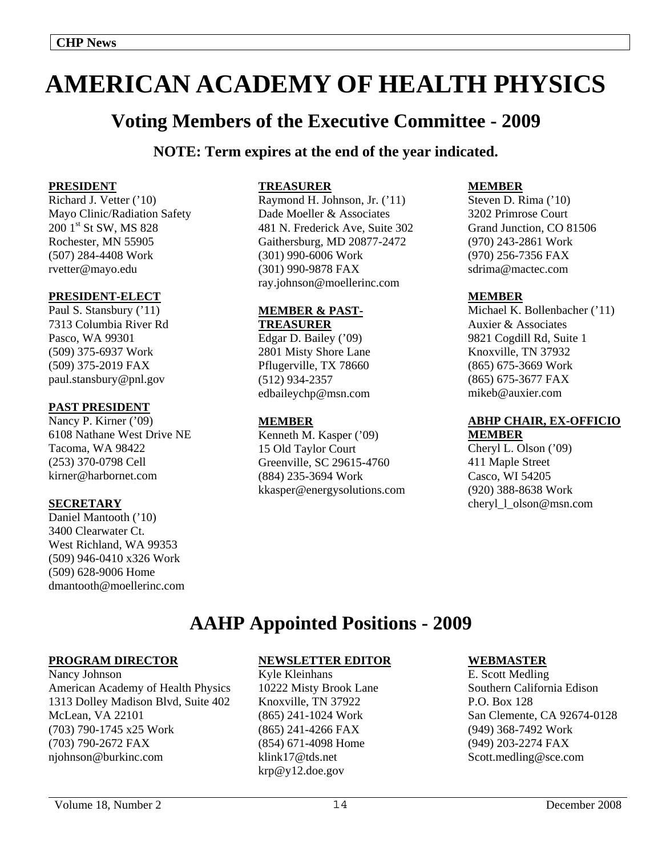## **AMERICAN ACADEMY OF HEALTH PHYSICS**

### **Voting Members of the Executive Committee - 2009**

#### **NOTE: Term expires at the end of the year indicated.**

#### **PRESIDENT**

Richard J. Vetter ('10) Mayo Clinic/Radiation Safety 200 1<sup>st</sup> St SW, MS 828 Rochester, MN 55905 (507) 284-4408 Work rvetter@mayo.edu

#### **PRESIDENT-ELECT**

Paul S. Stansbury ('11) 7313 Columbia River Rd Pasco, WA 99301 (509) 375-6937 Work (509) 375-2019 FAX paul.stansbury@pnl.gov

#### **PAST PRESIDENT**

Nancy P. Kirner ('09) 6108 Nathane West Drive NE Tacoma, WA 98422 (253) 370-0798 Cell kirner@harbornet.com

#### **SECRETARY**

Daniel Mantooth ('10) 3400 Clearwater Ct. West Richland, WA 99353 (509) 946-0410 x326 Work (509) 628-9006 Home dmantooth@moellerinc.com

#### **TREASURER**

Raymond H. Johnson, Jr. ('11) Dade Moeller & Associates 481 N. Frederick Ave, Suite 302 Gaithersburg, MD 20877-2472 (301) 990-6006 Work (301) 990-9878 FAX ray.johnson@moellerinc.com

#### **MEMBER & PAST-TREASURER**

Edgar D. Bailey ('09) 2801 Misty Shore Lane Pflugerville, TX 78660 (512) 934-2357 edbaileychp@msn.com

#### **MEMBER**

Kenneth M. Kasper ('09) 15 Old Taylor Court Greenville, SC 29615-4760 (884) 235-3694 Work kkasper@energysolutions.com

#### **MEMBER**

Steven D. Rima ('10) 3202 Primrose Court Grand Junction, CO 81506 (970) 243-2861 Work (970) 256-7356 FAX sdrima@mactec.com

#### **MEMBER**

Michael K. Bollenbacher ('11) Auxier & Associates 9821 Cogdill Rd, Suite 1 Knoxville, TN 37932 (865) 675-3669 Work (865) 675-3677 FAX mikeb@auxier.com

#### **ABHP CHAIR, EX-OFFICIO MEMBER**

Cheryl L. Olson ('09) 411 Maple Street Casco, WI 54205 (920) 388-8638 Work cheryl\_l\_olson@msn.com

## **AAHP Appointed Positions - 2009**

#### **PROGRAM DIRECTOR**

Nancy Johnson American Academy of Health Physics 1313 Dolley Madison Blvd, Suite 402 McLean, VA 22101 (703) 790-1745 x25 Work (703) 790-2672 FAX njohnson@burkinc.com

#### **NEWSLETTER EDITOR**

Kyle Kleinhans 10222 Misty Brook Lane Knoxville, TN 37922 (865) 241-1024 Work (865) 241-4266 FAX (854) 671-4098 Home klink17@tds.net krp@y12.doe.gov

#### **WEBMASTER**

E. Scott Medling Southern California Edison P.O. Box 128 San Clemente, CA 92674-0128 (949) 368-7492 Work (949) 203-2274 FAX Scott.medling@sce.com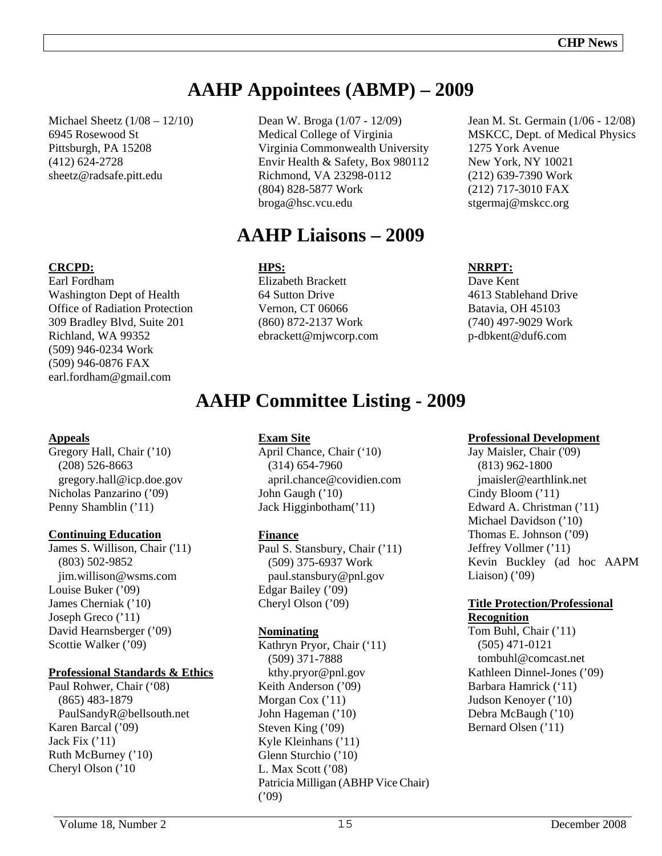## **AAHP Appointees (ABMP) – 2009**

Michael Sheetz (1/08 – 12/10) 6945 Rosewood St Pittsburgh, PA 15208 (412) 624-2728 sheetz@radsafe.pitt.edu

#### **CRCPD:**

Earl Fordham Washington Dept of Health Office of Radiation Protection 309 Bradley Blvd, Suite 201 Richland, WA 99352 (509) 946-0234 Work (509) 946-0876 FAX earl.fordham@gmail.com

Dean W. Broga (1/07 - 12/09) Medical College of Virginia Virginia Commonwealth University Envir Health & Safety, Box 980112 Richmond, VA 23298-0112 (804) 828-5877 Work broga@hsc.vcu.edu

## **AAHP Liaisons – 2009**

#### **HPS:**

Elizabeth Brackett 64 Sutton Drive Vernon, CT 06066 (860) 872-2137 Work ebrackett@mjwcorp.com Jean M. St. Germain (1/06 - 12/08) MSKCC, Dept. of Medical Physics 1275 York Avenue New York, NY 10021 (212) 639-7390 Work (212) 717-3010 FAX stgermaj@mskcc.org

#### **NRRPT:**

Dave Kent 4613 Stablehand Drive Batavia, OH 45103 (740) 497-9029 Work p-dbkent@duf6.com

## **AAHP Committee Listing - 2009**

#### **Appeals**

Gregory Hall, Chair ('10) (208) 526-8663 gregory.hall@icp.doe.gov Nicholas Panzarino ('09) Penny Shamblin ('11)

#### **Continuing Education**

James S. Willison, Chair ('11) (803) 502-9852 jim.willison@wsms.com Louise Buker ('09) James Cherniak ('10) Joseph Greco ('11) David Hearnsberger ('09) Scottie Walker ('09)

#### **Professional Standards & Ethics**

Paul Rohwer, Chair ('08) (865) 483-1879 PaulSandyR@bellsouth.net Karen Barcal ('09) Jack Fix  $('11)$ Ruth McBurney ('10) Cheryl Olson ('10

#### **Exam Site**

April Chance, Chair ('10) (314) 654-7960 april.chance@covidien.com John Gaugh ('10) Jack Higginbotham('11)

#### **Finance**

Paul S. Stansbury, Chair ('11) (509) 375-6937 Work paul.stansbury@pnl.gov Edgar Bailey ('09) Cheryl Olson ('09)

#### **Nominating**

Kathryn Pryor, Chair ('11) (509) 371-7888 kthy.pryor@pnl.gov Keith Anderson ('09) Morgan Cox ('11) John Hageman ('10) Steven King ('09) Kyle Kleinhans ('11) Glenn Sturchio ('10) L. Max Scott ('08) Patricia Milligan (ABHP Vice Chair)  $(109)$ 

#### **Professional Development**

Jay Maisler, Chair ('09) (813) 962-1800 jmaisler@earthlink.net Cindy Bloom ('11) Edward A. Christman ('11) Michael Davidson ('10) Thomas E. Johnson ('09) Jeffrey Vollmer ('11) Kevin Buckley (ad hoc AAPM Liaison) ('09)

#### **Title Protection/Professional Recognition**

Tom Buhl, Chair ('11) (505) 471-0121 tombuhl@comcast.net Kathleen Dinnel-Jones ('09) Barbara Hamrick ('11) Judson Kenoyer ('10) Debra McBaugh ('10) Bernard Olsen ('11)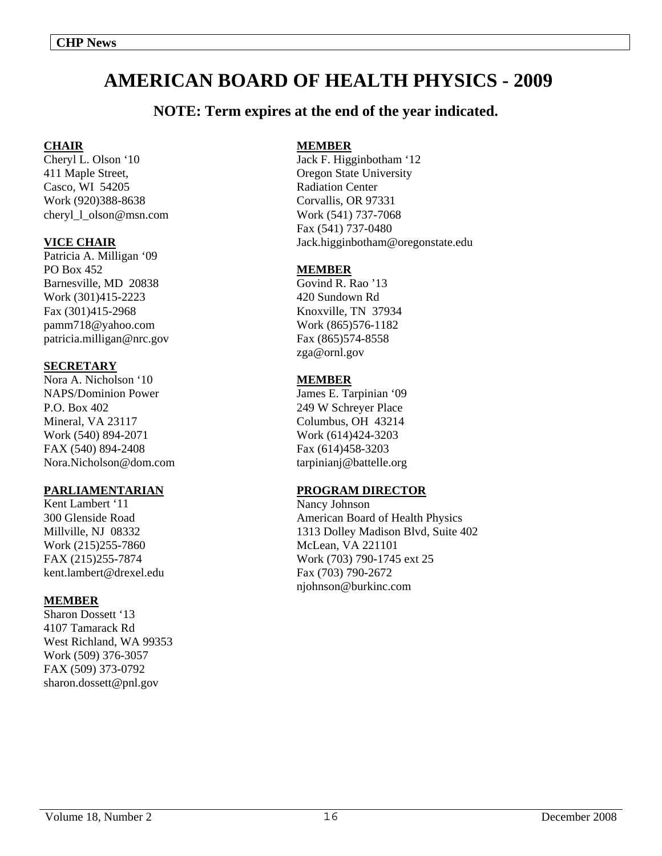## **AMERICAN BOARD OF HEALTH PHYSICS - 2009**

#### **NOTE: Term expires at the end of the year indicated.**

#### **CHAIR**

Cheryl L. Olson '10 411 Maple Street, Casco, WI 54205 Work (920)388-8638 cheryl\_l\_olson@msn.com

#### **VICE CHAIR**

Patricia A. Milligan '09 PO Box 452 Barnesville, MD 20838 Work (301)415-2223 Fax (301)415-2968 pamm718@yahoo.com patricia.milligan@nrc.gov

#### **SECRETARY**

Nora A. Nicholson '10 NAPS/Dominion Power P.O. Box 402 Mineral, VA 23117 Work (540) 894-2071 FAX (540) 894-2408 Nora.Nicholson@dom.com

#### **PARLIAMENTARIAN**

Kent Lambert '11 300 Glenside Road Millville, NJ 08332 Work (215)255-7860 FAX (215)255-7874 kent.lambert@drexel.edu

#### **MEMBER**

Sharon Dossett '13 4107 Tamarack Rd West Richland, WA 99353 Work (509) 376-3057 FAX (509) 373-0792 sharon.dossett@pnl.gov

#### **MEMBER**

Jack F. Higginbotham '12 Oregon State University Radiation Center Corvallis, OR 97331 Work (541) 737-7068 Fax (541) 737-0480 Jack.higginbotham@oregonstate.edu

#### **MEMBER**

Govind R. Rao '13 420 Sundown Rd Knoxville, TN 37934 Work (865)576-1182 Fax (865)574-8558 zga@ornl.gov

#### **MEMBER**

James E. Tarpinian '09 249 W Schreyer Place Columbus, OH 43214 Work (614)424-3203 Fax (614)458-3203 tarpinianj@battelle.org

#### **PROGRAM DIRECTOR**

Nancy Johnson American Board of Health Physics 1313 Dolley Madison Blvd, Suite 402 McLean, VA 221101 Work (703) 790-1745 ext 25 Fax (703) 790-2672 njohnson@burkinc.com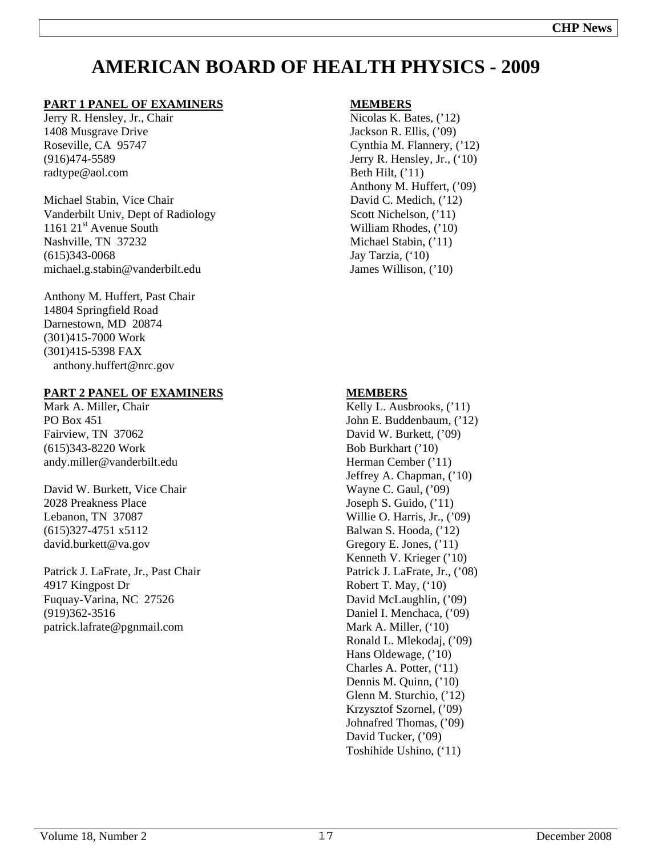## **AMERICAN BOARD OF HEALTH PHYSICS - 2009**

#### **PART 1 PANEL OF EXAMINERS**

Jerry R. Hensley, Jr., Chair 1408 Musgrave Drive Roseville, CA 95747 (916)474-5589 radtype@aol.com

Michael Stabin, Vice Chair Vanderbilt Univ, Dept of Radiology 1161 21<sup>st</sup> Avenue South Nashville, TN 37232 (615)343-0068 michael.g.stabin@vanderbilt.edu

Anthony M. Huffert, Past Chair 14804 Springfield Road Darnestown, MD 20874 (301)415-7000 Work (301)415-5398 FAX anthony.huffert@nrc.gov

#### **PART 2 PANEL OF EXAMINERS**

Mark A. Miller, Chair PO Box 451 Fairview, TN 37062 (615)343-8220 Work andy.miller@vanderbilt.edu

David W. Burkett, Vice Chair 2028 Preakness Place Lebanon, TN 37087 (615)327-4751 x5112 david.burkett@va.gov

Patrick J. LaFrate, Jr., Past Chair 4917 Kingpost Dr Fuquay-Varina, NC 27526 (919)362-3516 patrick.lafrate@pgnmail.com

#### **MEMBERS**

Nicolas K. Bates, ('12) Jackson R. Ellis, ('09) Cynthia M. Flannery, ('12) Jerry R. Hensley, Jr., ('10) Beth Hilt,  $('11)$ Anthony M. Huffert, ('09) David C. Medich,  $('12)$ Scott Nichelson,  $(11)$ William Rhodes, ('10) Michael Stabin, ('11) Jay Tarzia, ('10) James Willison, ('10)

#### **MEMBERS**

Kelly L. Ausbrooks, ('11) John E. Buddenbaum, ('12) David W. Burkett, ('09) Bob Burkhart ('10) Herman Cember ('11) Jeffrey A. Chapman, ('10) Wayne C. Gaul, ('09) Joseph S. Guido, ('11) Willie O. Harris, Jr., ('09) Balwan S. Hooda, ('12) Gregory E. Jones, ('11) Kenneth V. Krieger ('10) Patrick J. LaFrate, Jr., ('08) Robert T. May, ('10) David McLaughlin, ('09) Daniel I. Menchaca, ('09) Mark A. Miller,  $(10)$ Ronald L. Mlekodaj, ('09) Hans Oldewage, ('10) Charles A. Potter, ('11) Dennis M. Quinn, ('10) Glenn M. Sturchio, ('12) Krzysztof Szornel, ('09) Johnafred Thomas, ('09) David Tucker, ('09) Toshihide Ushino, ('11)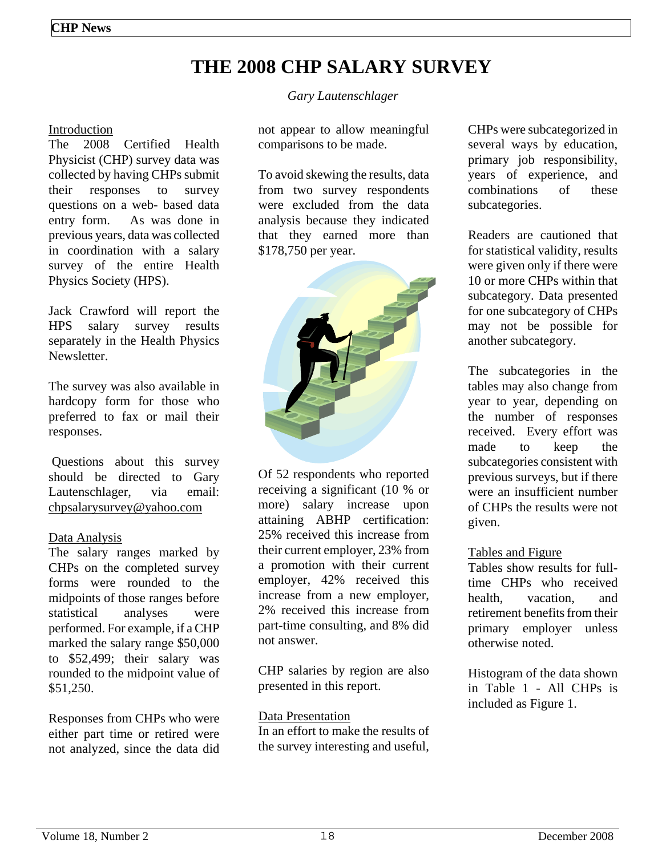## **THE 2008 CHP SALARY SURVEY**

#### Introduction

The 2008 Certified Health Physicist (CHP) survey data was collected by having CHPs submit their responses to survey questions on a web- based data entry form. As was done in previous years, data was collected in coordination with a salary survey of the entire Health Physics Society (HPS).

Jack Crawford will report the HPS salary survey results separately in the Health Physics Newsletter.

The survey was also available in hardcopy form for those who preferred to fax or mail their responses.

 Questions about this survey should be directed to Gary Lautenschlager, via email: chpsalarysurvey@yahoo.com

#### Data Analysis

The salary ranges marked by CHPs on the completed survey forms were rounded to the midpoints of those ranges before statistical analyses were performed. For example, if a CHP marked the salary range \$50,000 to \$52,499; their salary was rounded to the midpoint value of \$51,250.

Responses from CHPs who were either part time or retired were not analyzed, since the data did

#### *Gary Lautenschlager*

not appear to allow meaningful comparisons to be made.

To avoid skewing the results, data from two survey respondents were excluded from the data analysis because they indicated that they earned more than \$178,750 per year.



Of 52 respondents who reported receiving a significant (10 % or more) salary increase upon attaining ABHP certification: 25% received this increase from their current employer, 23% from a promotion with their current employer, 42% received this increase from a new employer, 2% received this increase from part-time consulting, and 8% did not answer.

CHP salaries by region are also presented in this report.

Data Presentation In an effort to make the results of the survey interesting and useful,

CHPs were subcategorized in several ways by education, primary job responsibility, years of experience, and combinations of these subcategories.

Readers are cautioned that for statistical validity, results were given only if there were 10 or more CHPs within that subcategory. Data presented for one subcategory of CHPs may not be possible for another subcategory.

The subcategories in the tables may also change from year to year, depending on the number of responses received. Every effort was made to keep the subcategories consistent with previous surveys, but if there were an insufficient number of CHPs the results were not given.

#### Tables and Figure

Tables show results for fulltime CHPs who received health, vacation, and retirement benefits from their primary employer unless otherwise noted.

Histogram of the data shown in Table 1 - All CHPs is included as Figure 1.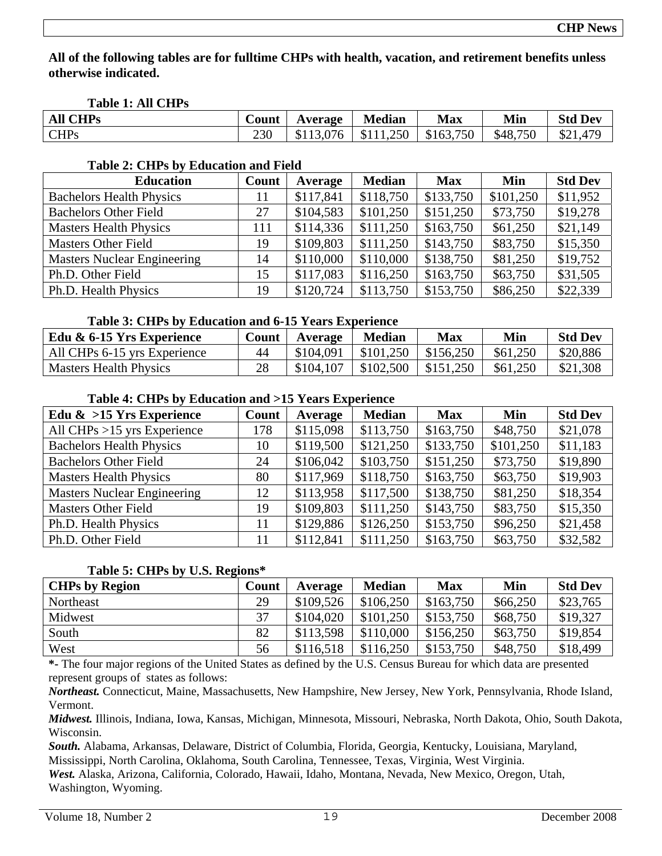**All of the following tables are for fulltime CHPs with health, vacation, and retirement benefits unless otherwise indicated.** 

#### **Table 1: All CHPs**

| <b>CHPs</b><br>All $\epsilon$ | Count | Average | <b>Median</b>  | Max       | Min      | <b>Std Dev</b> |
|-------------------------------|-------|---------|----------------|-----------|----------|----------------|
| <b>CHPs</b>                   | 230   | .076    | 1,250<br>\$111 | \$163,750 | \$48,750 | \$2<br>.479    |

#### **Table 2: CHPs by Education and Field**

| <b>Education</b>                   | Count | Average   | <b>Median</b> | <b>Max</b> | Min       | <b>Std Dev</b> |
|------------------------------------|-------|-----------|---------------|------------|-----------|----------------|
| <b>Bachelors Health Physics</b>    | 11    | \$117,841 | \$118,750     | \$133,750  | \$101,250 | \$11,952       |
| <b>Bachelors Other Field</b>       | 27    | \$104,583 | \$101,250     | \$151,250  | \$73,750  | \$19,278       |
| <b>Masters Health Physics</b>      | 111   | \$114,336 | \$111,250     | \$163,750  | \$61,250  | \$21,149       |
| <b>Masters Other Field</b>         | 19    | \$109,803 | \$111,250     | \$143,750  | \$83,750  | \$15,350       |
| <b>Masters Nuclear Engineering</b> | 14    | \$110,000 | \$110,000     | \$138,750  | \$81,250  | \$19,752       |
| Ph.D. Other Field                  | 15    | \$117,083 | \$116,250     | \$163,750  | \$63,750  | \$31,505       |
| Ph.D. Health Physics               | 19    | \$120,724 | \$113,750     | \$153,750  | \$86,250  | \$22,339       |

#### **Table 3: CHPs by Education and 6-15 Years Experience**

| Edu & 6-15 Yrs Experience    | Count | Average   | <b>Median</b> | Max       | Min      | <b>Std Dev</b> |
|------------------------------|-------|-----------|---------------|-----------|----------|----------------|
| All CHPs 6-15 yrs Experience | 44    | \$104,091 | \$101,250     | \$156,250 | \$61,250 | \$20,886       |
| Masters Health Physics       | 28    | \$104,107 | \$102,500     | \$151.250 | \$61,250 | \$21,308       |

#### **Table 4: CHPs by Education and >15 Years Experience**

| Edu $\&$ >15 Yrs Experience        | Count | Average   | <b>Median</b> | <b>Max</b> | Min       | <b>Std Dev</b> |
|------------------------------------|-------|-----------|---------------|------------|-----------|----------------|
| All CHPs $>15$ yrs Experience      | 178   | \$115,098 | \$113,750     | \$163,750  | \$48,750  | \$21,078       |
| <b>Bachelors Health Physics</b>    | 10    | \$119,500 | \$121,250     | \$133,750  | \$101,250 | \$11,183       |
| <b>Bachelors Other Field</b>       | 24    | \$106,042 | \$103,750     | \$151,250  | \$73,750  | \$19,890       |
| <b>Masters Health Physics</b>      | 80    | \$117,969 | \$118,750     | \$163,750  | \$63,750  | \$19,903       |
| <b>Masters Nuclear Engineering</b> | 12    | \$113,958 | \$117,500     | \$138,750  | \$81,250  | \$18,354       |
| <b>Masters Other Field</b>         | 19    | \$109,803 | \$111,250     | \$143,750  | \$83,750  | \$15,350       |
| Ph.D. Health Physics               | 11    | \$129,886 | \$126,250     | \$153,750  | \$96,250  | \$21,458       |
| Ph.D. Other Field                  | 11    | \$112,841 | \$111,250     | \$163,750  | \$63,750  | \$32,582       |

#### **Table 5: CHPs by U.S. Regions\***

| <b>CHPs by Region</b> | Count | Average   | <b>Median</b> | <b>Max</b> | Min      | <b>Std Dev</b> |
|-----------------------|-------|-----------|---------------|------------|----------|----------------|
| Northeast             | 29    | \$109,526 | \$106,250     | \$163,750  | \$66,250 | \$23,765       |
| Midwest               | 37    | \$104,020 | \$101,250     | \$153,750  | \$68,750 | \$19,327       |
| South                 | 82    | \$113,598 | \$110,000     | \$156,250  | \$63,750 | \$19,854       |
| West                  | 56    | \$116,518 | \$116,250     | \$153,750  | \$48,750 | \$18,499       |

**\*-** The four major regions of the United States as defined by the U.S. Census Bureau for which data are presented represent groups of states as follows:

*Northeast.* Connecticut, Maine, Massachusetts, New Hampshire, New Jersey, New York, Pennsylvania, Rhode Island, Vermont.

*Midwest.* Illinois, Indiana, Iowa, Kansas, Michigan, Minnesota, Missouri, Nebraska, North Dakota, Ohio, South Dakota, Wisconsin.

*South.* Alabama, Arkansas, Delaware, District of Columbia, Florida, Georgia, Kentucky, Louisiana, Maryland, Mississippi, North Carolina, Oklahoma, South Carolina, Tennessee, Texas, Virginia, West Virginia. *West.* Alaska, Arizona, California, Colorado, Hawaii, Idaho, Montana, Nevada, New Mexico, Oregon, Utah,

Washington, Wyoming.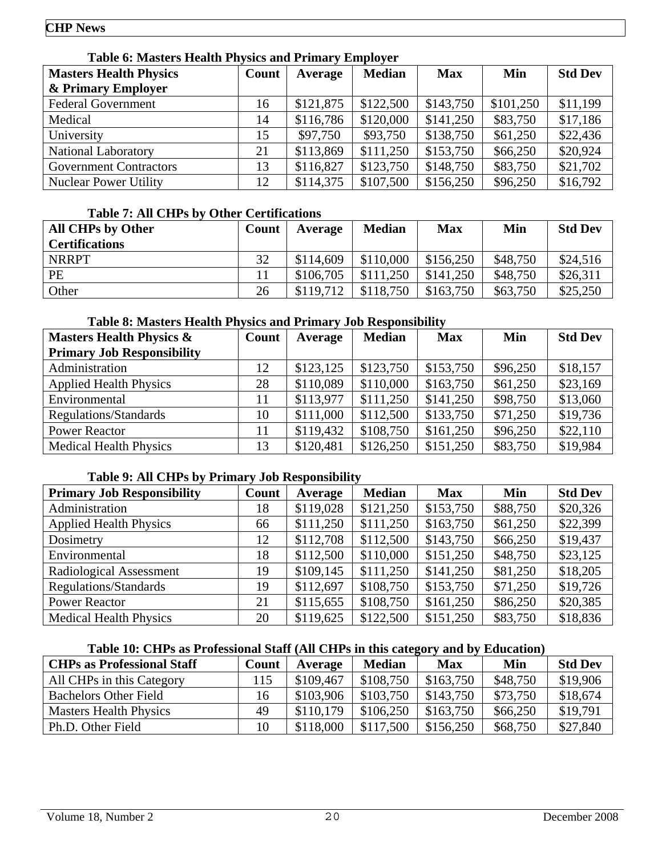| Table v. Masters Health I hysics and I fillial v Employer |       |           |               |            |           |                |  |  |  |
|-----------------------------------------------------------|-------|-----------|---------------|------------|-----------|----------------|--|--|--|
| <b>Masters Health Physics</b>                             | Count | Average   | <b>Median</b> | <b>Max</b> | Min       | <b>Std Dev</b> |  |  |  |
| & Primary Employer                                        |       |           |               |            |           |                |  |  |  |
| <b>Federal Government</b>                                 | 16    | \$121,875 | \$122,500     | \$143,750  | \$101,250 | \$11,199       |  |  |  |
| Medical                                                   | 14    | \$116,786 | \$120,000     | \$141,250  | \$83,750  | \$17,186       |  |  |  |
| University                                                | 15    | \$97,750  | \$93,750      | \$138,750  | \$61,250  | \$22,436       |  |  |  |
| <b>National Laboratory</b>                                | 21    | \$113,869 | \$111,250     | \$153,750  | \$66,250  | \$20,924       |  |  |  |
| <b>Government Contractors</b>                             | 13    | \$116,827 | \$123,750     | \$148,750  | \$83,750  | \$21,702       |  |  |  |
| <b>Nuclear Power Utility</b>                              | 12    | \$114,375 | \$107,500     | \$156,250  | \$96,250  | \$16,792       |  |  |  |
|                                                           |       |           |               |            |           |                |  |  |  |

#### **Table 6: Masters Health Physics and Primary Employer**

#### **Table 7: All CHPs by Other Certifications**

| <b>All CHPs by Other</b> | Count | Average   | <b>Median</b> | <b>Max</b> | Min      | <b>Std Dev</b> |
|--------------------------|-------|-----------|---------------|------------|----------|----------------|
| <b>Certifications</b>    |       |           |               |            |          |                |
| <b>NRRPT</b>             | 32    | \$114,609 | \$110,000     | \$156,250  | \$48,750 | \$24,516       |
| PE                       |       | \$106,705 | \$111,250     | \$141,250  | \$48,750 | \$26,311       |
| Other                    | 26    | \$119,712 | \$118,750     | \$163,750  | \$63,750 | \$25,250       |

#### **Table 8: Masters Health Physics and Primary Job Responsibility**

| <b>Masters Health Physics &amp;</b> | Count | Average   | <b>Median</b> | <b>Max</b> | Min      | <b>Std Dev</b> |
|-------------------------------------|-------|-----------|---------------|------------|----------|----------------|
| <b>Primary Job Responsibility</b>   |       |           |               |            |          |                |
| Administration                      | 12    | \$123,125 | \$123,750     | \$153,750  | \$96,250 | \$18,157       |
| <b>Applied Health Physics</b>       | 28    | \$110,089 | \$110,000     | \$163,750  | \$61,250 | \$23,169       |
| Environmental                       | 11    | \$113,977 | \$111,250     | \$141,250  | \$98,750 | \$13,060       |
| Regulations/Standards               | 10    | \$111,000 | \$112,500     | \$133,750  | \$71,250 | \$19,736       |
| <b>Power Reactor</b>                | 11    | \$119,432 | \$108,750     | \$161,250  | \$96,250 | \$22,110       |
| <b>Medical Health Physics</b>       | 13    | \$120,481 | \$126,250     | \$151,250  | \$83,750 | \$19,984       |

#### **Table 9: All CHPs by Primary Job Responsibility**

| <b>Primary Job Responsibility</b> | Count | Average   | <b>Median</b> | <b>Max</b> | Min      | <b>Std Dev</b> |
|-----------------------------------|-------|-----------|---------------|------------|----------|----------------|
| Administration                    | 18    | \$119,028 | \$121,250     | \$153,750  | \$88,750 | \$20,326       |
| <b>Applied Health Physics</b>     | 66    | \$111,250 | \$111,250     | \$163,750  | \$61,250 | \$22,399       |
| Dosimetry                         | 12    | \$112,708 | \$112,500     | \$143,750  | \$66,250 | \$19,437       |
| Environmental                     | 18    | \$112,500 | \$110,000     | \$151,250  | \$48,750 | \$23,125       |
| Radiological Assessment           | 19    | \$109,145 | \$111,250     | \$141,250  | \$81,250 | \$18,205       |
| Regulations/Standards             | 19    | \$112,697 | \$108,750     | \$153,750  | \$71,250 | \$19,726       |
| <b>Power Reactor</b>              | 21    | \$115,655 | \$108,750     | \$161,250  | \$86,250 | \$20,385       |
| <b>Medical Health Physics</b>     | 20    | \$119,625 | \$122,500     | \$151,250  | \$83,750 | \$18,836       |

#### **Table 10: CHPs as Professional Staff (All CHPs in this category and by Education)**

| <b>CHPs as Professional Staff</b> | Count | Average   | <b>Median</b> | <b>Max</b> | Min      | <b>Std Dev</b> |
|-----------------------------------|-------|-----------|---------------|------------|----------|----------------|
| All CHPs in this Category         | 115   | \$109,467 | \$108,750     | \$163,750  | \$48,750 | \$19,906       |
| <b>Bachelors Other Field</b>      | 16    | \$103,906 | \$103,750     | \$143,750  | \$73,750 | \$18,674       |
| <b>Masters Health Physics</b>     | 49    | \$110,179 | \$106,250     | \$163,750  | \$66,250 | \$19,791       |
| Ph.D. Other Field                 |       | \$118,000 | \$117,500     | \$156,250  | \$68,750 | \$27,840       |